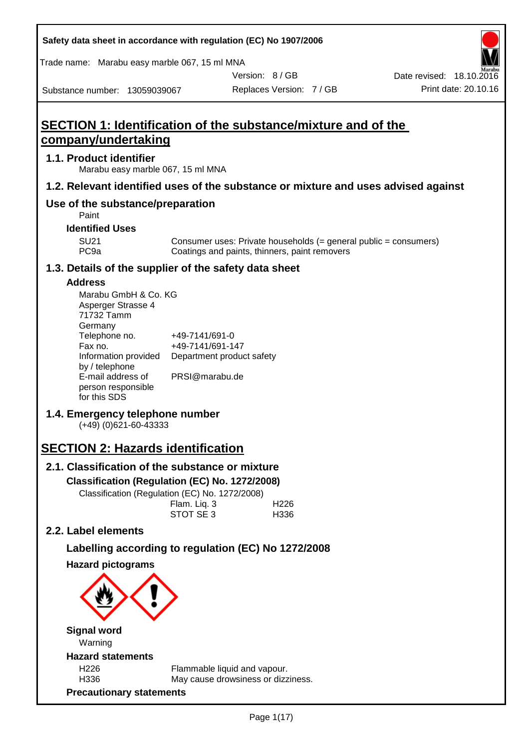| Safety data sheet in accordance with regulation (EC) No 1907/2006 |  |
|-------------------------------------------------------------------|--|
|-------------------------------------------------------------------|--|

Trade name: Marabu easy marble 067, 15 ml MNA

Date revised: 18.10.2016

Substance number: 13059039067

Version: 8 / GB Replaces Version: 7 / GB Print date: 20.10.16

# **SECTION 1: Identification of the substance/mixture and of the company/undertaking**

### **1.1. Product identifier**

Marabu easy marble 067, 15 ml MNA

### **1.2. Relevant identified uses of the substance or mixture and uses advised against**

# **Use of the substance/preparation**

Paint

### **Identified Uses**

SU21 Consumer uses: Private households (= general public = consumers)<br>PC9a Coatings and paints, thinners, paint removers Coatings and paints, thinners, paint removers

### **1.3. Details of the supplier of the safety data sheet**

#### **Address**

| Marabu GmbH & Co. KG |                           |
|----------------------|---------------------------|
| Asperger Strasse 4   |                           |
| 71732 Tamm           |                           |
| Germany              |                           |
| Telephone no.        | +49-7141/691-0            |
| Fax no.              | +49-7141/691-147          |
| Information provided | Department product safety |
| by / telephone       |                           |
| E-mail address of    | PRSI@marabu.de            |
| person responsible   |                           |
| for this SDS         |                           |

# **1.4. Emergency telephone number**

(+49) (0)621-60-43333

# **SECTION 2: Hazards identification**

# **2.1. Classification of the substance or mixture**

**Classification (Regulation (EC) No. 1272/2008)**

Classification (Regulation (EC) No. 1272/2008)

| Flam. Liq. 3 | H <sub>226</sub> |
|--------------|------------------|
| STOT SE 3    | H336             |

# **2.2. Label elements**

# **Labelling according to regulation (EC) No 1272/2008**

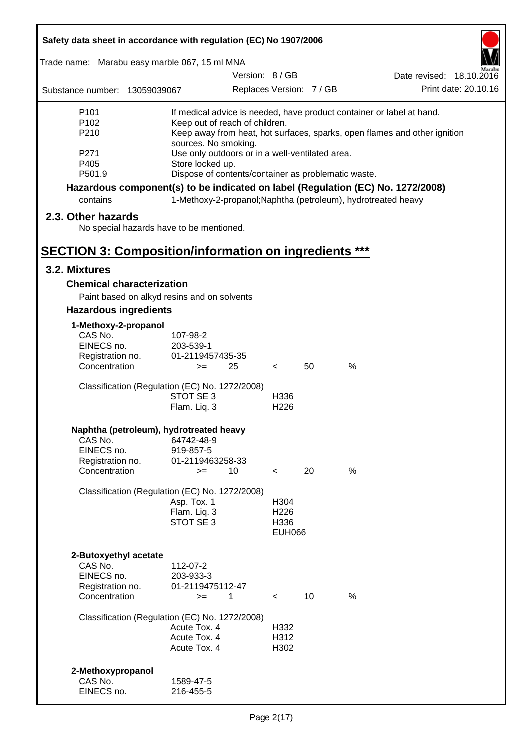| Trade name: Marabu easy marble 067, 15 ml MNA<br>Substance number: 13059039067  |                              | Version: 8/GB                                                 |                          |    |      | Date revised: 18.10.2016                                                  |
|---------------------------------------------------------------------------------|------------------------------|---------------------------------------------------------------|--------------------------|----|------|---------------------------------------------------------------------------|
|                                                                                 |                              |                                                               |                          |    |      |                                                                           |
|                                                                                 |                              |                                                               | Replaces Version: 7 / GB |    |      | Print date: 20.10.16                                                      |
| P101                                                                            |                              |                                                               |                          |    |      | If medical advice is needed, have product container or label at hand.     |
| P <sub>102</sub>                                                                |                              | Keep out of reach of children.                                |                          |    |      |                                                                           |
| P210                                                                            |                              |                                                               |                          |    |      | Keep away from heat, hot surfaces, sparks, open flames and other ignition |
|                                                                                 | sources. No smoking.         |                                                               |                          |    |      |                                                                           |
| P271<br>P405                                                                    | Store locked up.             | Use only outdoors or in a well-ventilated area.               |                          |    |      |                                                                           |
| P501.9                                                                          |                              | Dispose of contents/container as problematic waste.           |                          |    |      |                                                                           |
| Hazardous component(s) to be indicated on label (Regulation (EC) No. 1272/2008) |                              |                                                               |                          |    |      |                                                                           |
| contains                                                                        |                              | 1-Methoxy-2-propanol; Naphtha (petroleum), hydrotreated heavy |                          |    |      |                                                                           |
| 2.3. Other hazards                                                              |                              |                                                               |                          |    |      |                                                                           |
| No special hazards have to be mentioned.                                        |                              |                                                               |                          |    |      |                                                                           |
| <b>SECTION 3: Composition/information on ingredients ***</b>                    |                              |                                                               |                          |    |      |                                                                           |
| 3.2. Mixtures                                                                   |                              |                                                               |                          |    |      |                                                                           |
| <b>Chemical characterization</b>                                                |                              |                                                               |                          |    |      |                                                                           |
| Paint based on alkyd resins and on solvents                                     |                              |                                                               |                          |    |      |                                                                           |
| <b>Hazardous ingredients</b>                                                    |                              |                                                               |                          |    |      |                                                                           |
| 1-Methoxy-2-propanol                                                            |                              |                                                               |                          |    |      |                                                                           |
| CAS No.                                                                         | 107-98-2                     |                                                               |                          |    |      |                                                                           |
| EINECS no.                                                                      | 203-539-1                    |                                                               |                          |    |      |                                                                           |
| Registration no.                                                                | 01-2119457435-35             |                                                               |                          |    |      |                                                                           |
| Concentration                                                                   | $>=$                         | 25                                                            | $\prec$                  | 50 | $\%$ |                                                                           |
| Classification (Regulation (EC) No. 1272/2008)                                  |                              |                                                               |                          |    |      |                                                                           |
|                                                                                 | STOT SE 3                    |                                                               | H336                     |    |      |                                                                           |
|                                                                                 | Flam. Liq. 3                 |                                                               | H <sub>226</sub>         |    |      |                                                                           |
| Naphtha (petroleum), hydrotreated heavy                                         |                              |                                                               |                          |    |      |                                                                           |
| CAS No.                                                                         | 64742-48-9                   |                                                               |                          |    |      |                                                                           |
| EINECS no.                                                                      | 919-857-5                    |                                                               |                          |    |      |                                                                           |
| Registration no.                                                                | 01-2119463258-33             |                                                               |                          |    |      |                                                                           |
| Concentration                                                                   | $>=$                         | 10                                                            | $\prec$                  | 20 | %    |                                                                           |
| Classification (Regulation (EC) No. 1272/2008)                                  |                              |                                                               |                          |    |      |                                                                           |
|                                                                                 | Asp. Tox. 1                  |                                                               | H304                     |    |      |                                                                           |
|                                                                                 | Flam. Liq. 3                 |                                                               | H <sub>226</sub>         |    |      |                                                                           |
|                                                                                 | STOT SE 3                    |                                                               | H336<br><b>EUH066</b>    |    |      |                                                                           |
|                                                                                 |                              |                                                               |                          |    |      |                                                                           |
| 2-Butoxyethyl acetate                                                           |                              |                                                               |                          |    |      |                                                                           |
| CAS No.                                                                         | 112-07-2                     |                                                               |                          |    |      |                                                                           |
| EINECS no.                                                                      | 203-933-3                    |                                                               |                          |    |      |                                                                           |
| Registration no.<br>Concentration                                               | 01-2119475112-47<br>$>=$     | 1                                                             | $\prec$                  | 10 | $\%$ |                                                                           |
|                                                                                 |                              |                                                               |                          |    |      |                                                                           |
| Classification (Regulation (EC) No. 1272/2008)                                  |                              |                                                               |                          |    |      |                                                                           |
|                                                                                 | Acute Tox. 4<br>Acute Tox. 4 |                                                               | H332<br>H312             |    |      |                                                                           |
|                                                                                 | Acute Tox. 4                 |                                                               | H302                     |    |      |                                                                           |
|                                                                                 |                              |                                                               |                          |    |      |                                                                           |
| 2-Methoxypropanol                                                               |                              |                                                               |                          |    |      |                                                                           |
| CAS No.<br>EINECS no.                                                           | 1589-47-5<br>216-455-5       |                                                               |                          |    |      |                                                                           |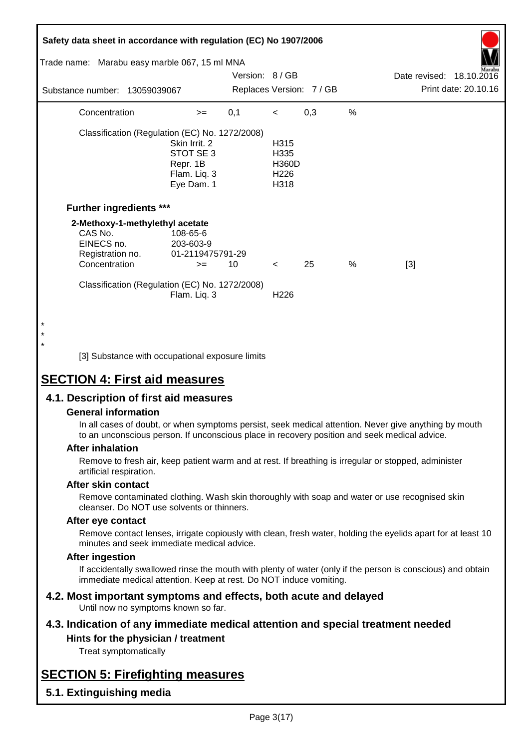| Safety data sheet in accordance with regulation (EC) No 1907/2006<br>Trade name: Marabu easy marble 067, 15 ml MNA<br>Substance number: 13059039067 |                                                                                                                        | Version: 8 / GB<br>Replaces Version: 7 / GB |                                                          |     |      | Date revised: 18.10.2016<br>Print date: 20.10.16 |
|-----------------------------------------------------------------------------------------------------------------------------------------------------|------------------------------------------------------------------------------------------------------------------------|---------------------------------------------|----------------------------------------------------------|-----|------|--------------------------------------------------|
| Concentration                                                                                                                                       | $>=$                                                                                                                   | 0,1                                         | $\,<\,$                                                  | 0,3 | %    |                                                  |
|                                                                                                                                                     | Classification (Regulation (EC) No. 1272/2008)<br>Skin Irrit. 2<br>STOT SE 3<br>Repr. 1B<br>Flam. Liq. 3<br>Eye Dam. 1 |                                             | H315<br>H335<br><b>H360D</b><br>H <sub>226</sub><br>H318 |     |      |                                                  |
| <b>Further ingredients ***</b>                                                                                                                      |                                                                                                                        |                                             |                                                          |     |      |                                                  |
| CAS No.<br>EINECS no.<br>Registration no.<br>Concentration                                                                                          | 2-Methoxy-1-methylethyl acetate<br>108-65-6<br>203-603-9<br>01-2119475791-29<br>$>=$                                   | 10                                          | $\lt$                                                    | 25  | $\%$ | $[3]$                                            |
| $\star$                                                                                                                                             | Classification (Regulation (EC) No. 1272/2008)<br>Flam. Liq. 3                                                         |                                             | H <sub>226</sub>                                         |     |      |                                                  |

[3] Substance with occupational exposure limits

# **SECTION 4: First aid measures**

#### **4.1. Description of first aid measures**

#### **General information**

In all cases of doubt, or when symptoms persist, seek medical attention. Never give anything by mouth to an unconscious person. If unconscious place in recovery position and seek medical advice.

#### **After inhalation**

\* \*

> Remove to fresh air, keep patient warm and at rest. If breathing is irregular or stopped, administer artificial respiration.

#### **After skin contact**

Remove contaminated clothing. Wash skin thoroughly with soap and water or use recognised skin cleanser. Do NOT use solvents or thinners.

#### **After eye contact**

Remove contact lenses, irrigate copiously with clean, fresh water, holding the eyelids apart for at least 10 minutes and seek immediate medical advice.

#### **After ingestion**

If accidentally swallowed rinse the mouth with plenty of water (only if the person is conscious) and obtain immediate medical attention. Keep at rest. Do NOT induce vomiting.

# **4.2. Most important symptoms and effects, both acute and delayed**

Until now no symptoms known so far.

#### **4.3. Indication of any immediate medical attention and special treatment needed Hints for the physician / treatment**

Treat symptomatically

# **SECTION 5: Firefighting measures**

**5.1. Extinguishing media**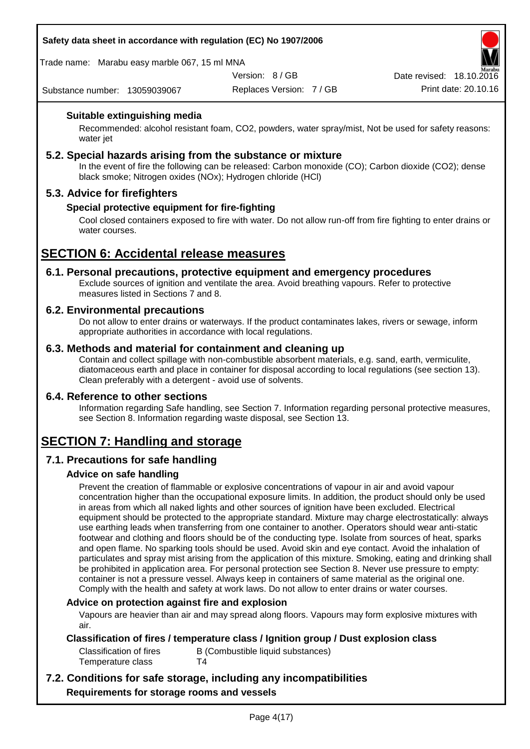Trade name: Marabu easy marble 067, 15 ml MNA

Version: 8 / GB

Replaces Version: 7 / GB Print date: 20.10.16 Date revised: 18.10.2016

Substance number: 13059039067

### **Suitable extinguishing media**

Recommended: alcohol resistant foam, CO2, powders, water spray/mist, Not be used for safety reasons: water jet

#### **5.2. Special hazards arising from the substance or mixture**

In the event of fire the following can be released: Carbon monoxide (CO); Carbon dioxide (CO2); dense black smoke; Nitrogen oxides (NOx); Hydrogen chloride (HCl)

### **5.3. Advice for firefighters**

#### **Special protective equipment for fire-fighting**

Cool closed containers exposed to fire with water. Do not allow run-off from fire fighting to enter drains or water courses.

# **SECTION 6: Accidental release measures**

# **6.1. Personal precautions, protective equipment and emergency procedures**

Exclude sources of ignition and ventilate the area. Avoid breathing vapours. Refer to protective measures listed in Sections 7 and 8.

#### **6.2. Environmental precautions**

Do not allow to enter drains or waterways. If the product contaminates lakes, rivers or sewage, inform appropriate authorities in accordance with local regulations.

#### **6.3. Methods and material for containment and cleaning up**

Contain and collect spillage with non-combustible absorbent materials, e.g. sand, earth, vermiculite, diatomaceous earth and place in container for disposal according to local regulations (see section 13). Clean preferably with a detergent - avoid use of solvents.

#### **6.4. Reference to other sections**

Information regarding Safe handling, see Section 7. Information regarding personal protective measures, see Section 8. Information regarding waste disposal, see Section 13.

# **SECTION 7: Handling and storage**

# **7.1. Precautions for safe handling**

#### **Advice on safe handling**

Prevent the creation of flammable or explosive concentrations of vapour in air and avoid vapour concentration higher than the occupational exposure limits. In addition, the product should only be used in areas from which all naked lights and other sources of ignition have been excluded. Electrical equipment should be protected to the appropriate standard. Mixture may charge electrostatically: always use earthing leads when transferring from one container to another. Operators should wear anti-static footwear and clothing and floors should be of the conducting type. Isolate from sources of heat, sparks and open flame. No sparking tools should be used. Avoid skin and eye contact. Avoid the inhalation of particulates and spray mist arising from the application of this mixture. Smoking, eating and drinking shall be prohibited in application area. For personal protection see Section 8. Never use pressure to empty: container is not a pressure vessel. Always keep in containers of same material as the original one. Comply with the health and safety at work laws. Do not allow to enter drains or water courses.

#### **Advice on protection against fire and explosion**

Vapours are heavier than air and may spread along floors. Vapours may form explosive mixtures with air.

#### **Classification of fires / temperature class / Ignition group / Dust explosion class**

| Classification of fires | B (Combustible liquid substances) |
|-------------------------|-----------------------------------|
| Temperature class       | Τ4                                |

# **7.2. Conditions for safe storage, including any incompatibilities Requirements for storage rooms and vessels**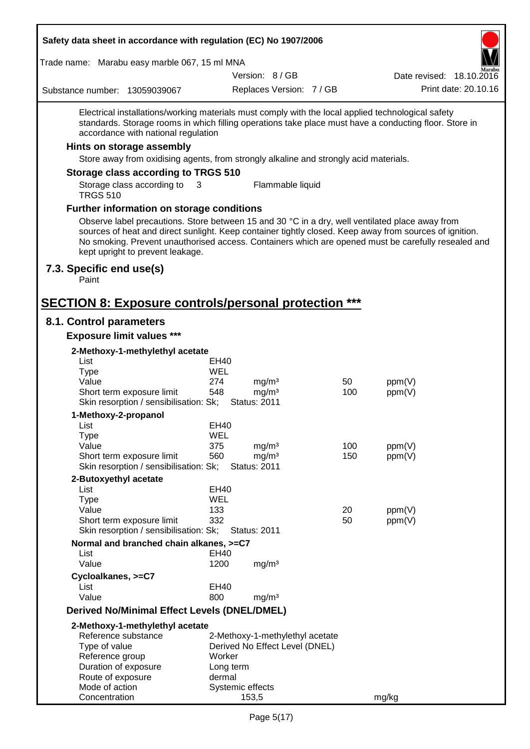Trade name: Marabu easy marble 067, 15 ml MNA

Version: 8 / GB

Replaces Version: 7 / GB Print date: 20.10.16 Date revised: 18.10.2016

Substance number: 13059039067

Electrical installations/working materials must comply with the local applied technological safety standards. Storage rooms in which filling operations take place must have a conducting floor. Store in accordance with national regulation

#### **Hints on storage assembly**

Store away from oxidising agents, from strongly alkaline and strongly acid materials.

#### **Storage class according to TRGS 510**

Storage class according to TRGS 510 3 Flammable liquid

#### **Further information on storage conditions**

Observe label precautions. Store between 15 and 30 °C in a dry, well ventilated place away from sources of heat and direct sunlight. Keep container tightly closed. Keep away from sources of ignition. No smoking. Prevent unauthorised access. Containers which are opened must be carefully resealed and kept upright to prevent leakage.

#### **7.3. Specific end use(s)**

Paint

# **SECTION 8: Exposure controls/personal protection \*\*\***

#### **8.1. Control parameters**

**Exposure limit values \*\*\***

| 2-Methoxy-1-methylethyl acetate              |                  |                                 |     |        |
|----------------------------------------------|------------------|---------------------------------|-----|--------|
| List                                         | EH40             |                                 |     |        |
| <b>Type</b>                                  | WEL              |                                 |     |        |
| Value                                        | 274              | mg/m <sup>3</sup>               | 50  | ppm(V) |
| Short term exposure limit                    | 548              | mg/m <sup>3</sup>               | 100 | ppm(V) |
| Skin resorption / sensibilisation: Sk;       |                  | <b>Status: 2011</b>             |     |        |
| 1-Methoxy-2-propanol                         |                  |                                 |     |        |
| List                                         | EH40             |                                 |     |        |
| <b>Type</b>                                  | WEL              |                                 |     |        |
| Value                                        | 375              | mg/m <sup>3</sup>               | 100 | ppm(V) |
| Short term exposure limit                    | 560              | mg/m <sup>3</sup>               | 150 | ppm(V) |
| Skin resorption / sensibilisation: Sk;       |                  | <b>Status: 2011</b>             |     |        |
| 2-Butoxyethyl acetate                        |                  |                                 |     |        |
| List                                         | <b>EH40</b>      |                                 |     |        |
| <b>Type</b>                                  | WEL              |                                 |     |        |
| Value                                        | 133              |                                 | 20  | ppm(V) |
| Short term exposure limit                    | 332              |                                 | 50  | ppm(V) |
| Skin resorption / sensibilisation: Sk;       |                  | Status: 2011                    |     |        |
| Normal and branched chain alkanes, >=C7      |                  |                                 |     |        |
| List                                         | EH40             |                                 |     |        |
| Value                                        | 1200             | mg/m <sup>3</sup>               |     |        |
| Cycloalkanes, >=C7                           |                  |                                 |     |        |
| List                                         | <b>EH40</b>      |                                 |     |        |
| Value                                        | 800              | mg/m <sup>3</sup>               |     |        |
| Derived No/Minimal Effect Levels (DNEL/DMEL) |                  |                                 |     |        |
| 2-Methoxy-1-methylethyl acetate              |                  |                                 |     |        |
| Reference substance                          |                  | 2-Methoxy-1-methylethyl acetate |     |        |
| Type of value                                |                  | Derived No Effect Level (DNEL)  |     |        |
| Reference group                              | Worker           |                                 |     |        |
| Duration of exposure                         | Long term        |                                 |     |        |
| Route of exposure                            | dermal           |                                 |     |        |
| Mode of action                               | Systemic effects |                                 |     |        |
| Concentration                                |                  | 153,5                           |     | mg/kg  |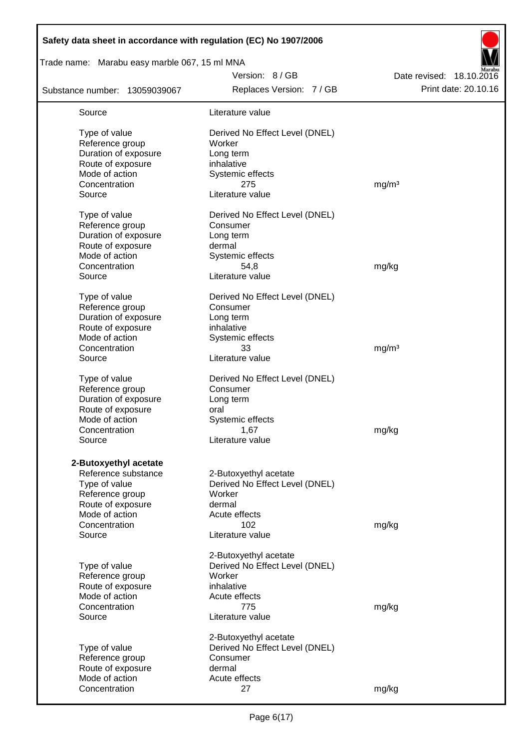| Safety data sheet in accordance with regulation (EC) No 1907/2006 |                                |                          |
|-------------------------------------------------------------------|--------------------------------|--------------------------|
| Trade name: Marabu easy marble 067, 15 ml MNA                     |                                |                          |
|                                                                   | Version: 8 / GB                | Date revised: 18.10.2016 |
| Substance number: 13059039067                                     | Replaces Version: 7 / GB       | Print date: 20.10.16     |
| Source                                                            | Literature value               |                          |
| Type of value                                                     | Derived No Effect Level (DNEL) |                          |
| Reference group                                                   | Worker                         |                          |
| Duration of exposure                                              | Long term                      |                          |
| Route of exposure                                                 | inhalative                     |                          |
| Mode of action                                                    | Systemic effects               |                          |
| Concentration                                                     | 275                            | mg/m <sup>3</sup>        |
| Source                                                            | Literature value               |                          |
| Type of value                                                     | Derived No Effect Level (DNEL) |                          |
| Reference group                                                   | Consumer                       |                          |
| Duration of exposure                                              | Long term                      |                          |
| Route of exposure                                                 | dermal                         |                          |
| Mode of action                                                    | Systemic effects               |                          |
| Concentration                                                     | 54,8                           | mg/kg                    |
| Source                                                            | Literature value               |                          |
| Type of value                                                     | Derived No Effect Level (DNEL) |                          |
| Reference group                                                   | Consumer                       |                          |
| Duration of exposure                                              | Long term                      |                          |
| Route of exposure                                                 | inhalative                     |                          |
| Mode of action                                                    | Systemic effects               |                          |
| Concentration                                                     | 33                             | mg/m <sup>3</sup>        |
| Source                                                            | Literature value               |                          |
| Type of value                                                     | Derived No Effect Level (DNEL) |                          |
| Reference group                                                   | Consumer                       |                          |
| Duration of exposure                                              | Long term                      |                          |
| Route of exposure                                                 | oral                           |                          |
| Mode of action                                                    | Systemic effects               |                          |
| Concentration                                                     | 1,67                           | mg/kg                    |
| Source                                                            | Literature value               |                          |
| 2-Butoxyethyl acetate                                             |                                |                          |
| Reference substance                                               | 2-Butoxyethyl acetate          |                          |
| Type of value                                                     | Derived No Effect Level (DNEL) |                          |
| Reference group                                                   | Worker                         |                          |
| Route of exposure                                                 | dermal                         |                          |
| Mode of action                                                    | Acute effects                  |                          |
| Concentration                                                     | 102                            | mg/kg                    |
| Source                                                            | Literature value               |                          |
|                                                                   | 2-Butoxyethyl acetate          |                          |
| Type of value                                                     | Derived No Effect Level (DNEL) |                          |
| Reference group                                                   | Worker                         |                          |
| Route of exposure                                                 | inhalative                     |                          |
| Mode of action                                                    | Acute effects                  |                          |
| Concentration                                                     | 775                            | mg/kg                    |
| Source                                                            | Literature value               |                          |
|                                                                   | 2-Butoxyethyl acetate          |                          |
| Type of value                                                     | Derived No Effect Level (DNEL) |                          |
| Reference group                                                   | Consumer                       |                          |
| Route of exposure                                                 | dermal                         |                          |
| Mode of action                                                    | Acute effects                  |                          |
| Concentration                                                     | 27                             | mg/kg                    |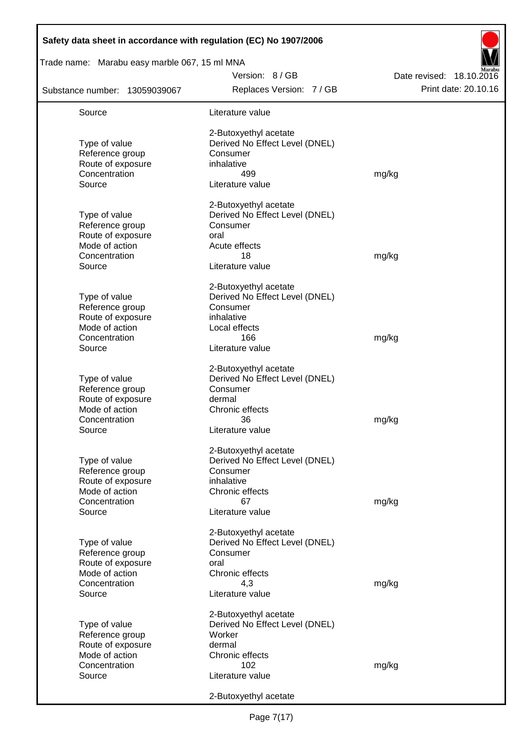| Safety data sheet in accordance with regulation (EC) No 1907/2006<br>Trade name: Marabu easy marble 067, 15 ml MNA |                                |                          |
|--------------------------------------------------------------------------------------------------------------------|--------------------------------|--------------------------|
|                                                                                                                    | Version: 8 / GB                | Date revised: 18.10.2016 |
| Substance number: 13059039067                                                                                      | Replaces Version: 7 / GB       | Print date: 20.10.16     |
| Source                                                                                                             | Literature value               |                          |
|                                                                                                                    | 2-Butoxyethyl acetate          |                          |
| Type of value                                                                                                      | Derived No Effect Level (DNEL) |                          |
| Reference group                                                                                                    | Consumer                       |                          |
| Route of exposure                                                                                                  | inhalative                     |                          |
| Concentration<br>Source                                                                                            | 499<br>Literature value        | mg/kg                    |
|                                                                                                                    | 2-Butoxyethyl acetate          |                          |
| Type of value                                                                                                      | Derived No Effect Level (DNEL) |                          |
| Reference group                                                                                                    | Consumer                       |                          |
| Route of exposure                                                                                                  | oral                           |                          |
| Mode of action                                                                                                     | Acute effects                  |                          |
| Concentration                                                                                                      | 18                             | mg/kg                    |
| Source                                                                                                             | Literature value               |                          |
|                                                                                                                    | 2-Butoxyethyl acetate          |                          |
| Type of value                                                                                                      | Derived No Effect Level (DNEL) |                          |
| Reference group                                                                                                    | Consumer                       |                          |
| Route of exposure                                                                                                  | inhalative                     |                          |
| Mode of action                                                                                                     | Local effects                  |                          |
| Concentration                                                                                                      | 166                            | mg/kg                    |
| Source                                                                                                             | Literature value               |                          |
|                                                                                                                    | 2-Butoxyethyl acetate          |                          |
| Type of value                                                                                                      | Derived No Effect Level (DNEL) |                          |
| Reference group                                                                                                    | Consumer                       |                          |
| Route of exposure                                                                                                  | dermal                         |                          |
| Mode of action                                                                                                     | Chronic effects                |                          |
| Concentration                                                                                                      | 36                             | mg/kg                    |
| Source                                                                                                             | Literature value               |                          |
|                                                                                                                    | 2-Butoxyethyl acetate          |                          |
| Type of value                                                                                                      | Derived No Effect Level (DNEL) |                          |
| Reference group                                                                                                    | Consumer                       |                          |
| Route of exposure                                                                                                  | inhalative                     |                          |
| Mode of action                                                                                                     | Chronic effects                |                          |
| Concentration                                                                                                      | 67                             | mg/kg                    |
| Source                                                                                                             | Literature value               |                          |
|                                                                                                                    | 2-Butoxyethyl acetate          |                          |
| Type of value                                                                                                      | Derived No Effect Level (DNEL) |                          |
| Reference group                                                                                                    | Consumer                       |                          |
| Route of exposure                                                                                                  | oral                           |                          |
| Mode of action                                                                                                     | Chronic effects                |                          |
| Concentration<br>Source                                                                                            | 4,3<br>Literature value        | mg/kg                    |
|                                                                                                                    |                                |                          |
|                                                                                                                    | 2-Butoxyethyl acetate          |                          |
| Type of value                                                                                                      | Derived No Effect Level (DNEL) |                          |
| Reference group                                                                                                    | Worker                         |                          |
| Route of exposure                                                                                                  | dermal                         |                          |
| Mode of action                                                                                                     | Chronic effects                |                          |
| Concentration                                                                                                      | 102                            | mg/kg                    |
| Source                                                                                                             | Literature value               |                          |
|                                                                                                                    | 2-Butoxyethyl acetate          |                          |

 $\mathbf{r}$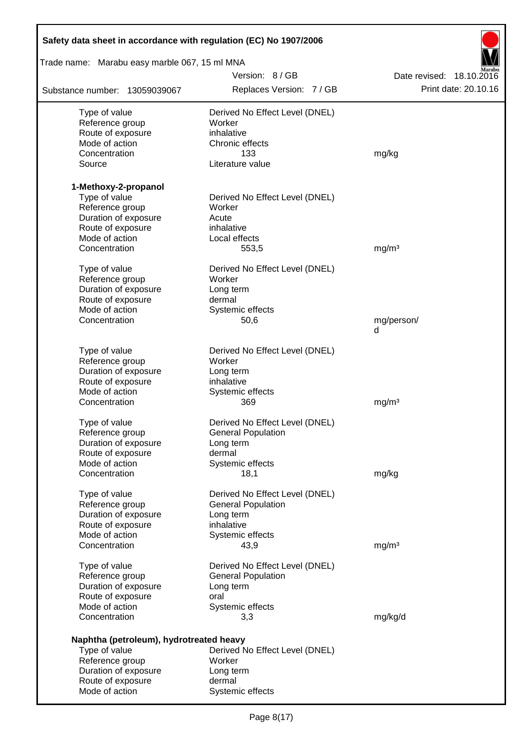| Safety data sheet in accordance with regulation (EC) No 1907/2006 |                                |                          |
|-------------------------------------------------------------------|--------------------------------|--------------------------|
| Trade name: Marabu easy marble 067, 15 ml MNA                     |                                |                          |
|                                                                   | Version: 8 / GB                | Date revised: 18.10.2016 |
| Substance number: 13059039067                                     | Replaces Version: 7 / GB       | Print date: 20.10.16     |
| Type of value                                                     | Derived No Effect Level (DNEL) |                          |
| Reference group                                                   | Worker                         |                          |
| Route of exposure                                                 | inhalative                     |                          |
| Mode of action                                                    | Chronic effects                |                          |
| Concentration                                                     | 133                            | mg/kg                    |
| Source                                                            | Literature value               |                          |
| 1-Methoxy-2-propanol                                              |                                |                          |
| Type of value                                                     | Derived No Effect Level (DNEL) |                          |
| Reference group                                                   | Worker                         |                          |
| Duration of exposure                                              | Acute                          |                          |
| Route of exposure                                                 | inhalative                     |                          |
| Mode of action                                                    | Local effects                  |                          |
| Concentration                                                     | 553,5                          | mg/m <sup>3</sup>        |
| Type of value                                                     | Derived No Effect Level (DNEL) |                          |
| Reference group                                                   | Worker                         |                          |
| Duration of exposure                                              | Long term                      |                          |
| Route of exposure                                                 | dermal                         |                          |
| Mode of action                                                    | Systemic effects               |                          |
| Concentration                                                     | 50,6                           | mg/person/               |
|                                                                   |                                | d                        |
| Type of value                                                     | Derived No Effect Level (DNEL) |                          |
| Reference group                                                   | Worker                         |                          |
| Duration of exposure                                              | Long term                      |                          |
| Route of exposure                                                 | inhalative                     |                          |
| Mode of action                                                    | Systemic effects               |                          |
| Concentration                                                     | 369                            | mg/m <sup>3</sup>        |
| Type of value                                                     | Derived No Effect Level (DNEL) |                          |
| Reference group                                                   | General Population             |                          |
| Duration of exposure                                              | Long term                      |                          |
| Route of exposure                                                 | dermal                         |                          |
| Mode of action                                                    | Systemic effects               |                          |
| Concentration                                                     | 18,1                           | mg/kg                    |
|                                                                   |                                |                          |
| Type of value                                                     | Derived No Effect Level (DNEL) |                          |
| Reference group                                                   | <b>General Population</b>      |                          |
| Duration of exposure                                              | Long term                      |                          |
| Route of exposure                                                 | inhalative                     |                          |
| Mode of action                                                    | Systemic effects               |                          |
| Concentration                                                     | 43,9                           | mg/m <sup>3</sup>        |
| Type of value                                                     | Derived No Effect Level (DNEL) |                          |
| Reference group                                                   | <b>General Population</b>      |                          |
| Duration of exposure                                              | Long term                      |                          |
| Route of exposure                                                 | oral                           |                          |
| Mode of action                                                    | Systemic effects               |                          |
| Concentration                                                     | 3,3                            | mg/kg/d                  |
| Naphtha (petroleum), hydrotreated heavy                           |                                |                          |
| Type of value                                                     | Derived No Effect Level (DNEL) |                          |
| Reference group                                                   | Worker                         |                          |
| Duration of exposure                                              | Long term                      |                          |
| Route of exposure                                                 | dermal                         |                          |
| Mode of action                                                    | Systemic effects               |                          |

Г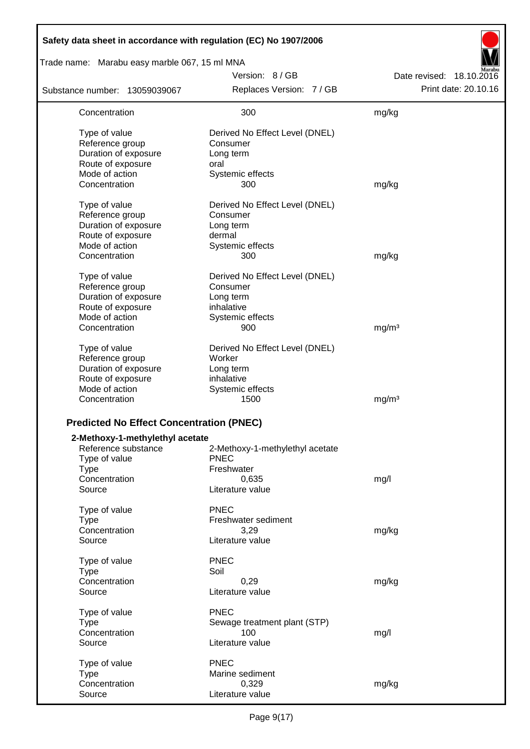| Safety data sheet in accordance with regulation (EC) No 1907/2006 |                                 |                          |
|-------------------------------------------------------------------|---------------------------------|--------------------------|
| Trade name: Marabu easy marble 067, 15 ml MNA                     |                                 |                          |
|                                                                   | Version: 8 / GB                 | Date revised: 18.10.2016 |
| Substance number: 13059039067                                     | Replaces Version: 7 / GB        | Print date: 20.10.16     |
| Concentration                                                     | 300                             | mg/kg                    |
| Type of value                                                     | Derived No Effect Level (DNEL)  |                          |
| Reference group                                                   | Consumer                        |                          |
| Duration of exposure                                              | Long term                       |                          |
| Route of exposure                                                 | oral                            |                          |
| Mode of action                                                    | Systemic effects                |                          |
| Concentration                                                     | 300                             | mg/kg                    |
| Type of value                                                     | Derived No Effect Level (DNEL)  |                          |
| Reference group                                                   | Consumer                        |                          |
| Duration of exposure                                              | Long term                       |                          |
| Route of exposure                                                 | dermal                          |                          |
| Mode of action                                                    | Systemic effects                |                          |
| Concentration                                                     | 300                             | mg/kg                    |
| Type of value                                                     | Derived No Effect Level (DNEL)  |                          |
| Reference group                                                   | Consumer                        |                          |
| Duration of exposure                                              | Long term                       |                          |
| Route of exposure                                                 | inhalative                      |                          |
| Mode of action                                                    | Systemic effects                |                          |
| Concentration                                                     | 900                             | mg/m <sup>3</sup>        |
| Type of value                                                     | Derived No Effect Level (DNEL)  |                          |
| Reference group                                                   | Worker                          |                          |
| Duration of exposure                                              | Long term                       |                          |
| Route of exposure                                                 | inhalative                      |                          |
| Mode of action                                                    | Systemic effects                |                          |
| Concentration                                                     | 1500                            | mg/m <sup>3</sup>        |
| <b>Predicted No Effect Concentration (PNEC)</b>                   |                                 |                          |
| 2-Methoxy-1-methylethyl acetate                                   |                                 |                          |
| Reference substance                                               | 2-Methoxy-1-methylethyl acetate |                          |
| Type of value                                                     | <b>PNEC</b>                     |                          |
| <b>Type</b>                                                       | Freshwater                      |                          |
| Concentration                                                     | 0,635                           | mg/l                     |
| Source                                                            | Literature value                |                          |
| Type of value                                                     | <b>PNEC</b>                     |                          |
| <b>Type</b>                                                       | Freshwater sediment             |                          |
| Concentration                                                     | 3,29                            | mg/kg                    |
| Source                                                            | Literature value                |                          |
| Type of value                                                     | <b>PNEC</b>                     |                          |
| <b>Type</b>                                                       | Soil                            |                          |
| Concentration                                                     | 0,29                            | mg/kg                    |
| Source                                                            | Literature value                |                          |
|                                                                   | <b>PNEC</b>                     |                          |
| Type of value<br><b>Type</b>                                      | Sewage treatment plant (STP)    |                          |
| Concentration                                                     | 100                             | mg/l                     |
| Source                                                            | Literature value                |                          |
|                                                                   |                                 |                          |
| Type of value<br><b>Type</b>                                      | <b>PNEC</b><br>Marine sediment  |                          |
| Concentration                                                     | 0,329                           | mg/kg                    |
| Source                                                            | Literature value                |                          |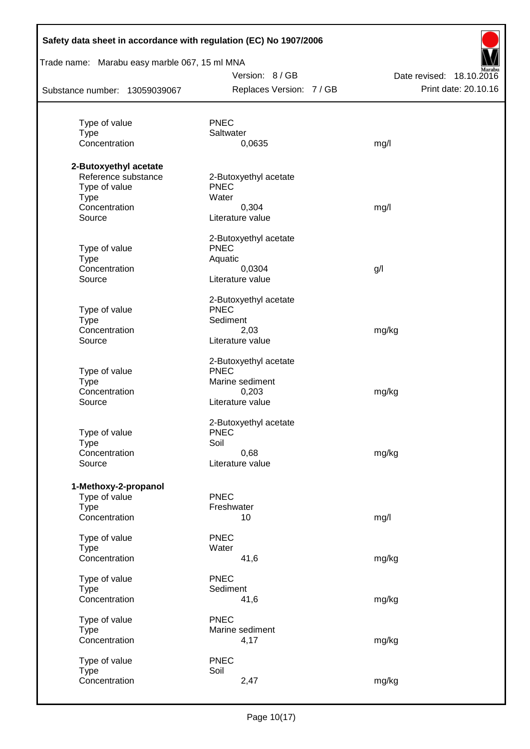| Safety data sheet in accordance with regulation (EC) No 1907/2006<br>Trade name: Marabu easy marble 067, 15 ml MNA |                          |                          |
|--------------------------------------------------------------------------------------------------------------------|--------------------------|--------------------------|
|                                                                                                                    | Version: 8 / GB          | Date revised: 18.10.2016 |
| Substance number: 13059039067                                                                                      | Replaces Version: 7 / GB | Print date: 20.10.16     |
|                                                                                                                    |                          |                          |
| Type of value                                                                                                      | <b>PNEC</b>              |                          |
| <b>Type</b>                                                                                                        | Saltwater                |                          |
| Concentration                                                                                                      | 0,0635                   | mg/l                     |
| 2-Butoxyethyl acetate                                                                                              |                          |                          |
| Reference substance                                                                                                | 2-Butoxyethyl acetate    |                          |
| Type of value                                                                                                      | <b>PNEC</b>              |                          |
| <b>Type</b>                                                                                                        | Water                    |                          |
| Concentration                                                                                                      | 0,304                    | mg/l                     |
| Source                                                                                                             | Literature value         |                          |
|                                                                                                                    | 2-Butoxyethyl acetate    |                          |
| Type of value                                                                                                      | <b>PNEC</b>              |                          |
| <b>Type</b>                                                                                                        | Aquatic                  |                          |
| Concentration                                                                                                      | 0,0304                   | g/l                      |
| Source                                                                                                             | Literature value         |                          |
|                                                                                                                    | 2-Butoxyethyl acetate    |                          |
| Type of value                                                                                                      | <b>PNEC</b>              |                          |
| <b>Type</b>                                                                                                        | Sediment                 |                          |
| Concentration                                                                                                      | 2,03                     | mg/kg                    |
| Source                                                                                                             | Literature value         |                          |
|                                                                                                                    | 2-Butoxyethyl acetate    |                          |
| Type of value                                                                                                      | <b>PNEC</b>              |                          |
| <b>Type</b>                                                                                                        | Marine sediment          |                          |
| Concentration                                                                                                      | 0,203                    | mg/kg                    |
| Source                                                                                                             | Literature value         |                          |
|                                                                                                                    | 2-Butoxyethyl acetate    |                          |
| Type of value                                                                                                      | <b>PNEC</b>              |                          |
| <b>Type</b>                                                                                                        | Soil                     |                          |
| Concentration                                                                                                      | 0,68                     | mg/kg                    |
| Source                                                                                                             | Literature value         |                          |
| 1-Methoxy-2-propanol                                                                                               |                          |                          |
| Type of value                                                                                                      | <b>PNEC</b>              |                          |
| <b>Type</b>                                                                                                        | Freshwater               |                          |
| Concentration                                                                                                      | 10                       | mg/l                     |
| Type of value                                                                                                      | <b>PNEC</b>              |                          |
| <b>Type</b>                                                                                                        | Water                    |                          |
| Concentration                                                                                                      | 41,6                     | mg/kg                    |
| Type of value                                                                                                      | <b>PNEC</b>              |                          |
| <b>Type</b>                                                                                                        | Sediment                 |                          |
| Concentration                                                                                                      | 41,6                     | mg/kg                    |
| Type of value                                                                                                      | <b>PNEC</b>              |                          |
| <b>Type</b>                                                                                                        | Marine sediment          |                          |
| Concentration                                                                                                      | 4,17                     | mg/kg                    |
| Type of value                                                                                                      | <b>PNEC</b>              |                          |
| <b>Type</b>                                                                                                        | Soil                     |                          |
| Concentration                                                                                                      | 2,47                     | mg/kg                    |
|                                                                                                                    |                          |                          |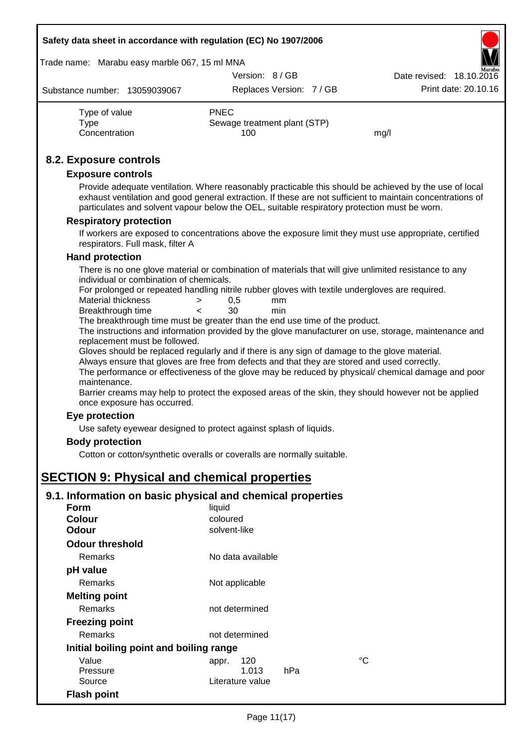| Safety data sheet in accordance with regulation (EC) No 1907/2006 |  |  |  |  |
|-------------------------------------------------------------------|--|--|--|--|
|-------------------------------------------------------------------|--|--|--|--|

#### Trade name: Marabu easy marble 067, 15 ml MNA

|                               | Version: 8/GB          | <b>INLAH ALUM</b><br>Date revised: 18.10.2016 |
|-------------------------------|------------------------|-----------------------------------------------|
| Substance number: 13059039067 | Replaces Version: 7/GB | Print date: 20.10.16                          |

| Type of value | <b>PNEC</b>                  |      |
|---------------|------------------------------|------|
| Tvpe          | Sewage treatment plant (STP) |      |
| Concentration | 100                          | mg/l |

### **8.2. Exposure controls**

#### **Exposure controls**

Provide adequate ventilation. Where reasonably practicable this should be achieved by the use of local exhaust ventilation and good general extraction. If these are not sufficient to maintain concentrations of particulates and solvent vapour below the OEL, suitable respiratory protection must be worn.

#### **Respiratory protection**

If workers are exposed to concentrations above the exposure limit they must use appropriate, certified respirators. Full mask, filter A

#### **Hand protection**

There is no one glove material or combination of materials that will give unlimited resistance to any individual or combination of chemicals.

For prolonged or repeated handling nitrile rubber gloves with textile undergloves are required.

| Material thickness | 0.5 | mm  |
|--------------------|-----|-----|
| Breakthrough time  | 30  | min |

The breakthrough time must be greater than the end use time of the product.

The instructions and information provided by the glove manufacturer on use, storage, maintenance and replacement must be followed.

Gloves should be replaced regularly and if there is any sign of damage to the glove material.

Always ensure that gloves are free from defects and that they are stored and used correctly.

The performance or effectiveness of the glove may be reduced by physical/ chemical damage and poor maintenance.

Barrier creams may help to protect the exposed areas of the skin, they should however not be applied once exposure has occurred.

#### **Eye protection**

Use safety eyewear designed to protect against splash of liquids.

#### **Body protection**

Cotton or cotton/synthetic overalls or coveralls are normally suitable.

# **SECTION 9: Physical and chemical properties**

#### **9.1. Information on basic physical and chemical properties**

| Form                                    | liquid            |    |
|-----------------------------------------|-------------------|----|
| <b>Colour</b>                           | coloured          |    |
| Odour                                   | solvent-like      |    |
| <b>Odour threshold</b>                  |                   |    |
| Remarks                                 | No data available |    |
| pH value                                |                   |    |
| <b>Remarks</b>                          | Not applicable    |    |
| <b>Melting point</b>                    |                   |    |
| <b>Remarks</b>                          | not determined    |    |
| <b>Freezing point</b>                   |                   |    |
| <b>Remarks</b>                          | not determined    |    |
| Initial boiling point and boiling range |                   |    |
| Value                                   | 120<br>appr.      | °C |
| Pressure                                | 1.013<br>hPa      |    |
| Source                                  | Literature value  |    |
| <b>Flash point</b>                      |                   |    |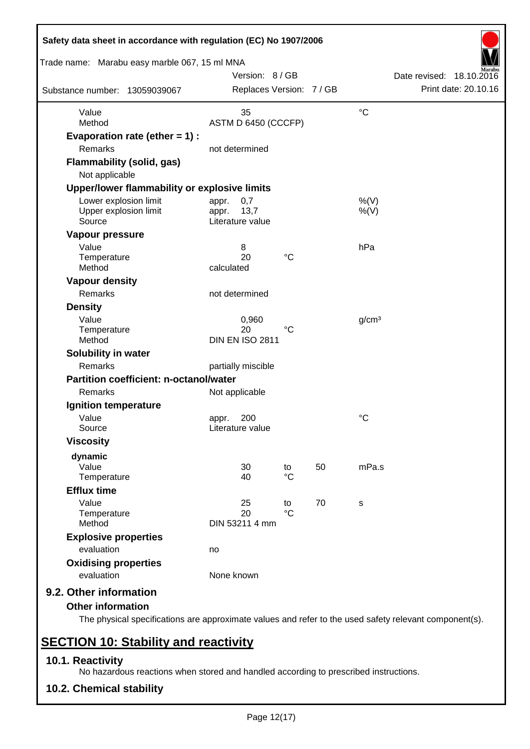| Trade name: Marabu easy marble 067, 15 ml MNA            |                |                                           |                       |    |                   |                                                  |
|----------------------------------------------------------|----------------|-------------------------------------------|-----------------------|----|-------------------|--------------------------------------------------|
| Substance number: 13059039067                            |                | Version: 8/GB<br>Replaces Version: 7 / GB |                       |    |                   | Date revised: 18.10.2016<br>Print date: 20.10.16 |
| Value                                                    |                | 35                                        |                       |    | $\rm ^{\circ}C$   |                                                  |
| Method                                                   |                | ASTM D 6450 (CCCFP)                       |                       |    |                   |                                                  |
| Evaporation rate (ether $= 1$ ) :<br><b>Remarks</b>      |                | not determined                            |                       |    |                   |                                                  |
| <b>Flammability (solid, gas)</b><br>Not applicable       |                |                                           |                       |    |                   |                                                  |
| Upper/lower flammability or explosive limits             |                |                                           |                       |    |                   |                                                  |
| Lower explosion limit<br>Upper explosion limit<br>Source | appr.<br>appr. | 0,7<br>13,7<br>Literature value           |                       |    | %(V)<br>%(V)      |                                                  |
| Vapour pressure                                          |                |                                           |                       |    |                   |                                                  |
| Value<br>Temperature<br>Method                           | calculated     | 8<br>20                                   | $^{\circ}C$           |    | hPa               |                                                  |
| <b>Vapour density</b>                                    |                |                                           |                       |    |                   |                                                  |
| Remarks                                                  |                | not determined                            |                       |    |                   |                                                  |
| <b>Density</b>                                           |                |                                           |                       |    |                   |                                                  |
| Value<br>Temperature<br>Method                           |                | 0,960<br>20<br><b>DIN EN ISO 2811</b>     | $^{\circ}C$           |    | g/cm <sup>3</sup> |                                                  |
| Solubility in water                                      |                |                                           |                       |    |                   |                                                  |
| Remarks                                                  |                | partially miscible                        |                       |    |                   |                                                  |
| Partition coefficient: n-octanol/water                   |                |                                           |                       |    |                   |                                                  |
| Remarks                                                  | Not applicable |                                           |                       |    |                   |                                                  |
| Ignition temperature                                     |                |                                           |                       |    |                   |                                                  |
| Value<br>Source                                          | appr.          | 200<br>Literature value                   |                       |    | $\rm ^{\circ}C$   |                                                  |
| <b>Viscosity</b>                                         |                |                                           |                       |    |                   |                                                  |
| dynamic<br>Value<br>Temperature                          |                | 30<br>40                                  | to<br>$\rm ^{\circ}C$ | 50 | mPa.s             |                                                  |
| <b>Efflux time</b>                                       |                |                                           |                       |    |                   |                                                  |
| Value<br>Temperature<br>Method                           |                | 25<br>20<br>DIN 53211 4 mm                | to<br>$\rm ^{\circ}C$ | 70 | s                 |                                                  |
| <b>Explosive properties</b>                              |                |                                           |                       |    |                   |                                                  |
| evaluation                                               | no             |                                           |                       |    |                   |                                                  |
| <b>Oxidising properties</b>                              |                |                                           |                       |    |                   |                                                  |
| evaluation                                               | None known     |                                           |                       |    |                   |                                                  |

The physical specifications are approximate values and refer to the used safety relevant component(s).

# **SECTION 10: Stability and reactivity**

### **10.1. Reactivity**

No hazardous reactions when stored and handled according to prescribed instructions.

**10.2. Chemical stability**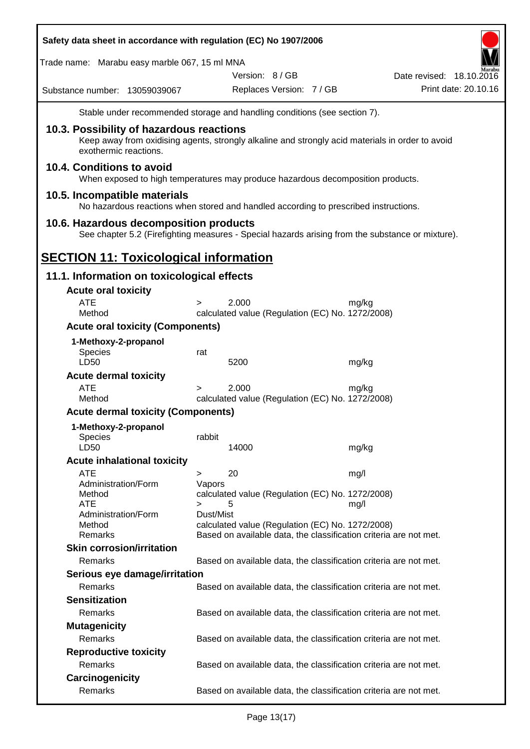| Safety data sheet in accordance with regulation (EC) No 1907/2006 |                     |                                                                                                  |       |                          |                      |
|-------------------------------------------------------------------|---------------------|--------------------------------------------------------------------------------------------------|-------|--------------------------|----------------------|
| Trade name: Marabu easy marble 067, 15 ml MNA                     |                     |                                                                                                  |       |                          |                      |
| Substance number: 13059039067                                     |                     | Version: 8 / GB<br>Replaces Version: 7 / GB                                                      |       | Date revised: 18.10.2016 | Print date: 20.10.16 |
|                                                                   |                     | Stable under recommended storage and handling conditions (see section 7).                        |       |                          |                      |
| 10.3. Possibility of hazardous reactions                          |                     |                                                                                                  |       |                          |                      |
| exothermic reactions.                                             |                     | Keep away from oxidising agents, strongly alkaline and strongly acid materials in order to avoid |       |                          |                      |
| 10.4. Conditions to avoid                                         |                     | When exposed to high temperatures may produce hazardous decomposition products.                  |       |                          |                      |
| 10.5. Incompatible materials                                      |                     | No hazardous reactions when stored and handled according to prescribed instructions.             |       |                          |                      |
| 10.6. Hazardous decomposition products                            |                     |                                                                                                  |       |                          |                      |
|                                                                   |                     | See chapter 5.2 (Firefighting measures - Special hazards arising from the substance or mixture). |       |                          |                      |
| <b>SECTION 11: Toxicological information</b>                      |                     |                                                                                                  |       |                          |                      |
|                                                                   |                     |                                                                                                  |       |                          |                      |
| 11.1. Information on toxicological effects                        |                     |                                                                                                  |       |                          |                      |
| <b>Acute oral toxicity</b>                                        |                     |                                                                                                  |       |                          |                      |
| <b>ATE</b><br>Method                                              | $\geq$              | 2.000<br>calculated value (Regulation (EC) No. 1272/2008)                                        | mg/kg |                          |                      |
| <b>Acute oral toxicity (Components)</b>                           |                     |                                                                                                  |       |                          |                      |
| 1-Methoxy-2-propanol                                              |                     |                                                                                                  |       |                          |                      |
| <b>Species</b>                                                    | rat                 |                                                                                                  |       |                          |                      |
| LD50                                                              |                     | 5200                                                                                             | mg/kg |                          |                      |
| <b>Acute dermal toxicity</b>                                      |                     |                                                                                                  |       |                          |                      |
| <b>ATE</b><br>Method                                              | $\geq$              | 2.000<br>calculated value (Regulation (EC) No. 1272/2008)                                        | mg/kg |                          |                      |
| <b>Acute dermal toxicity (Components)</b>                         |                     |                                                                                                  |       |                          |                      |
| 1-Methoxy-2-propanol                                              |                     |                                                                                                  |       |                          |                      |
| <b>Species</b>                                                    | rabbit              |                                                                                                  |       |                          |                      |
| LD50                                                              |                     | 14000                                                                                            | mg/kg |                          |                      |
| <b>Acute inhalational toxicity</b>                                |                     |                                                                                                  |       |                          |                      |
| <b>ATE</b><br>Administration/Form                                 | ><br>Vapors         | 20                                                                                               | mg/l  |                          |                      |
| Method<br><b>ATE</b>                                              |                     | calculated value (Regulation (EC) No. 1272/2008)                                                 |       |                          |                      |
| Administration/Form                                               | $\geq$<br>Dust/Mist | 5                                                                                                | mg/l  |                          |                      |
| Method                                                            |                     | calculated value (Regulation (EC) No. 1272/2008)                                                 |       |                          |                      |
| Remarks                                                           |                     | Based on available data, the classification criteria are not met.                                |       |                          |                      |
| <b>Skin corrosion/irritation</b>                                  |                     |                                                                                                  |       |                          |                      |
| Remarks                                                           |                     | Based on available data, the classification criteria are not met.                                |       |                          |                      |
| Serious eye damage/irritation                                     |                     |                                                                                                  |       |                          |                      |
| Remarks                                                           |                     | Based on available data, the classification criteria are not met.                                |       |                          |                      |
| <b>Sensitization</b><br>Remarks                                   |                     |                                                                                                  |       |                          |                      |
|                                                                   |                     | Based on available data, the classification criteria are not met.                                |       |                          |                      |
| <b>Mutagenicity</b><br>Remarks                                    |                     | Based on available data, the classification criteria are not met.                                |       |                          |                      |
| <b>Reproductive toxicity</b>                                      |                     |                                                                                                  |       |                          |                      |
| Remarks                                                           |                     | Based on available data, the classification criteria are not met.                                |       |                          |                      |
| Carcinogenicity                                                   |                     |                                                                                                  |       |                          |                      |
| Remarks                                                           |                     | Based on available data, the classification criteria are not met.                                |       |                          |                      |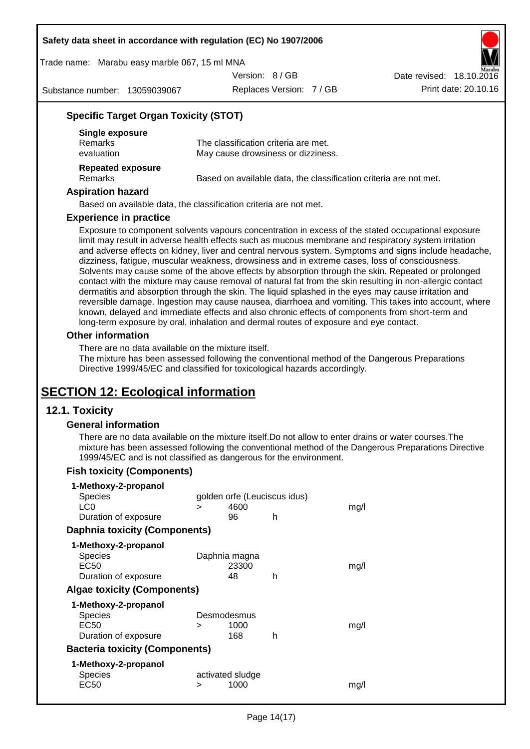Trade name: Marabu easy marble 067, 15 ml MNA

Version: 8 / GB

Substance number: 13059039067

Replaces Version: 7 / GB Print date: 20.10.16 Date revised: 18.10.2016

### **Specific Target Organ Toxicity (STOT)**

| Single exposure                     |                                                                   |
|-------------------------------------|-------------------------------------------------------------------|
| <b>Remarks</b>                      | The classification criteria are met.                              |
| evaluation                          | May cause drowsiness or dizziness.                                |
| Repeated exposure<br><b>Remarks</b> | Based on available data, the classification criteria are not met. |
|                                     |                                                                   |

#### **Aspiration hazard**

Based on available data, the classification criteria are not met.

#### **Experience in practice**

Exposure to component solvents vapours concentration in excess of the stated occupational exposure limit may result in adverse health effects such as mucous membrane and respiratory system irritation and adverse effects on kidney, liver and central nervous system. Symptoms and signs include headache, dizziness, fatigue, muscular weakness, drowsiness and in extreme cases, loss of consciousness. Solvents may cause some of the above effects by absorption through the skin. Repeated or prolonged contact with the mixture may cause removal of natural fat from the skin resulting in non-allergic contact dermatitis and absorption through the skin. The liquid splashed in the eyes may cause irritation and reversible damage. Ingestion may cause nausea, diarrhoea and vomiting. This takes into account, where known, delayed and immediate effects and also chronic effects of components from short-term and long-term exposure by oral, inhalation and dermal routes of exposure and eye contact.

#### **Other information**

There are no data available on the mixture itself.

The mixture has been assessed following the conventional method of the Dangerous Preparations Directive 1999/45/EC and classified for toxicological hazards accordingly.

# **SECTION 12: Ecological information**

#### **12.1. Toxicity**

#### **General information**

There are no data available on the mixture itself.Do not allow to enter drains or water courses.The mixture has been assessed following the conventional method of the Dangerous Preparations Directive 1999/45/EC and is not classified as dangerous for the environment.

#### **Fish toxicity (Components)**

| 1-Methoxy-2-propanol                  |   |                              |   |      |
|---------------------------------------|---|------------------------------|---|------|
| <b>Species</b>                        |   | golden orfe (Leuciscus idus) |   |      |
| LC <sub>0</sub>                       | > | 4600                         |   | mq/l |
| Duration of exposure                  |   | 96                           | h |      |
| <b>Daphnia toxicity (Components)</b>  |   |                              |   |      |
| 1-Methoxy-2-propanol                  |   |                              |   |      |
| <b>Species</b>                        |   | Daphnia magna                |   |      |
| EC50                                  |   | 23300                        |   | mg/l |
| Duration of exposure                  |   | 48                           | h |      |
| <b>Algae toxicity (Components)</b>    |   |                              |   |      |
| 1-Methoxy-2-propanol                  |   |                              |   |      |
| <b>Species</b>                        |   | Desmodesmus                  |   |      |
| EC50                                  | > | 1000                         |   | mq/l |
| Duration of exposure                  |   | 168                          | h |      |
| <b>Bacteria toxicity (Components)</b> |   |                              |   |      |
| 1-Methoxy-2-propanol                  |   |                              |   |      |
| <b>Species</b>                        |   | activated sludge             |   |      |
| <b>EC50</b>                           | > | 1000                         |   | mg/1 |
|                                       |   |                              |   |      |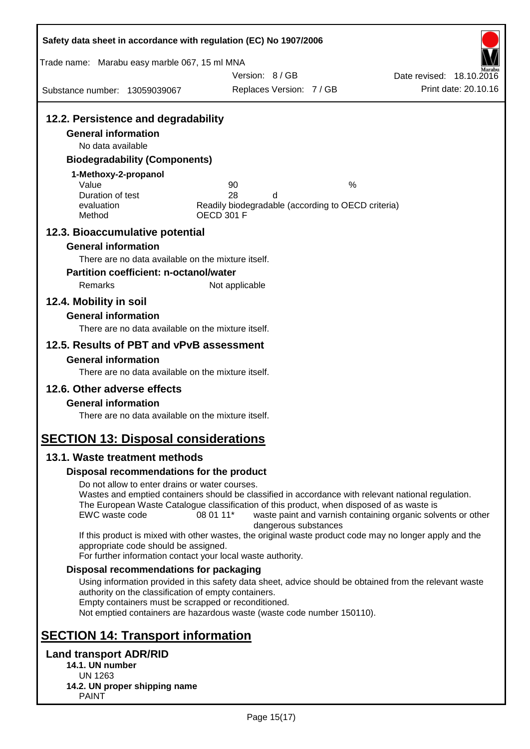| Safety data sheet in accordance with regulation (EC) No 1907/2006 |                                                                                                         |                                                              |
|-------------------------------------------------------------------|---------------------------------------------------------------------------------------------------------|--------------------------------------------------------------|
| Trade name: Marabu easy marble 067, 15 ml MNA                     |                                                                                                         |                                                              |
|                                                                   | Version: 8 / GB                                                                                         | Date revised: 18.10.2016<br>Print date: 20.10.16             |
| Substance number: 13059039067                                     | Replaces Version: 7 / GB                                                                                |                                                              |
| 12.2. Persistence and degradability                               |                                                                                                         |                                                              |
| <b>General information</b>                                        |                                                                                                         |                                                              |
| No data available                                                 |                                                                                                         |                                                              |
| <b>Biodegradability (Components)</b>                              |                                                                                                         |                                                              |
| 1-Methoxy-2-propanol                                              |                                                                                                         |                                                              |
| Value                                                             | 90<br>28                                                                                                | $\%$                                                         |
| Duration of test<br>evaluation                                    | d<br>Readily biodegradable (according to OECD criteria)                                                 |                                                              |
| Method                                                            | <b>OECD 301 F</b>                                                                                       |                                                              |
| 12.3. Bioaccumulative potential                                   |                                                                                                         |                                                              |
| <b>General information</b>                                        |                                                                                                         |                                                              |
| There are no data available on the mixture itself.                |                                                                                                         |                                                              |
| <b>Partition coefficient: n-octanol/water</b>                     |                                                                                                         |                                                              |
| Remarks                                                           | Not applicable                                                                                          |                                                              |
| 12.4. Mobility in soil                                            |                                                                                                         |                                                              |
| <b>General information</b>                                        |                                                                                                         |                                                              |
| There are no data available on the mixture itself.                |                                                                                                         |                                                              |
| 12.5. Results of PBT and vPvB assessment                          |                                                                                                         |                                                              |
| <b>General information</b>                                        |                                                                                                         |                                                              |
| There are no data available on the mixture itself.                |                                                                                                         |                                                              |
| 12.6. Other adverse effects                                       |                                                                                                         |                                                              |
| <b>General information</b>                                        |                                                                                                         |                                                              |
| There are no data available on the mixture itself.                |                                                                                                         |                                                              |
| <b>SECTION 13: Disposal considerations</b>                        |                                                                                                         |                                                              |
| 13.1. Waste treatment methods                                     |                                                                                                         |                                                              |
| Disposal recommendations for the product                          |                                                                                                         |                                                              |
| Do not allow to enter drains or water courses.                    |                                                                                                         |                                                              |
|                                                                   | Wastes and emptied containers should be classified in accordance with relevant national regulation.     |                                                              |
| EWC waste code                                                    | The European Waste Catalogue classification of this product, when disposed of as waste is<br>08 01 11*  | waste paint and varnish containing organic solvents or other |
|                                                                   | dangerous substances                                                                                    |                                                              |
|                                                                   | If this product is mixed with other wastes, the original waste product code may no longer apply and the |                                                              |
| appropriate code should be assigned.                              | For further information contact your local waste authority.                                             |                                                              |
| Disposal recommendations for packaging                            |                                                                                                         |                                                              |
|                                                                   | Using information provided in this safety data sheet, advice should be obtained from the relevant waste |                                                              |
| authority on the classification of empty containers.              |                                                                                                         |                                                              |
| Empty containers must be scrapped or reconditioned.               | Not emptied containers are hazardous waste (waste code number 150110).                                  |                                                              |
|                                                                   |                                                                                                         |                                                              |
| <b>SECTION 14: Transport information</b>                          |                                                                                                         |                                                              |
| <b>Land transport ADR/RID</b>                                     |                                                                                                         |                                                              |
| 14.1. UN number                                                   |                                                                                                         |                                                              |
| <b>UN 1263</b><br>14.2. UN proper shipping name                   |                                                                                                         |                                                              |
| <b>PAINT</b>                                                      |                                                                                                         |                                                              |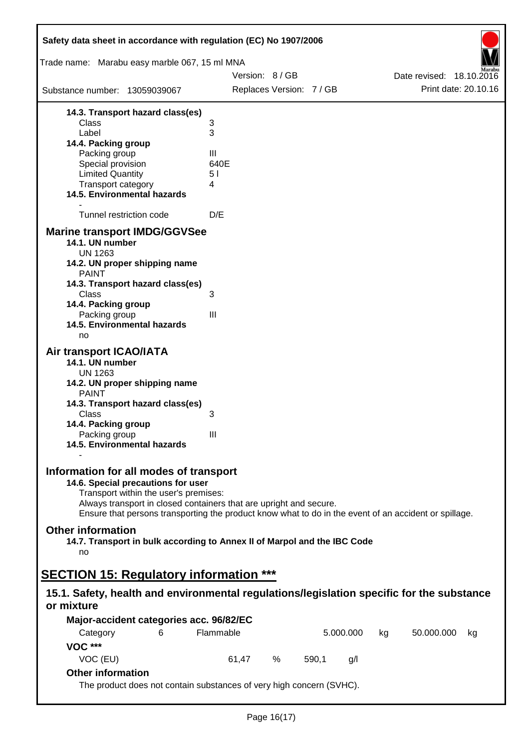| Safety data sheet in accordance with regulation (EC) No 1907/2006                                                                                                                                                                                                                                    |           |                 |                          |       |           |    |            |                                                  |
|------------------------------------------------------------------------------------------------------------------------------------------------------------------------------------------------------------------------------------------------------------------------------------------------------|-----------|-----------------|--------------------------|-------|-----------|----|------------|--------------------------------------------------|
| Trade name: Marabu easy marble 067, 15 ml MNA                                                                                                                                                                                                                                                        |           |                 |                          |       |           |    |            |                                                  |
|                                                                                                                                                                                                                                                                                                      |           | Version: 8 / GB |                          |       |           |    |            | Date revised: 18.10.2016<br>Print date: 20.10.16 |
| Substance number: 13059039067                                                                                                                                                                                                                                                                        |           |                 | Replaces Version: 7 / GB |       |           |    |            |                                                  |
| 14.3. Transport hazard class(es)                                                                                                                                                                                                                                                                     |           |                 |                          |       |           |    |            |                                                  |
| Class<br>Label                                                                                                                                                                                                                                                                                       | 3<br>3    |                 |                          |       |           |    |            |                                                  |
| 14.4. Packing group                                                                                                                                                                                                                                                                                  |           |                 |                          |       |           |    |            |                                                  |
| Packing group                                                                                                                                                                                                                                                                                        | Ш         |                 |                          |       |           |    |            |                                                  |
| Special provision                                                                                                                                                                                                                                                                                    | 640E      |                 |                          |       |           |    |            |                                                  |
| <b>Limited Quantity</b><br>Transport category                                                                                                                                                                                                                                                        | 51<br>4   |                 |                          |       |           |    |            |                                                  |
| 14.5. Environmental hazards                                                                                                                                                                                                                                                                          |           |                 |                          |       |           |    |            |                                                  |
| Tunnel restriction code                                                                                                                                                                                                                                                                              | D/E       |                 |                          |       |           |    |            |                                                  |
| <b>Marine transport IMDG/GGVSee</b>                                                                                                                                                                                                                                                                  |           |                 |                          |       |           |    |            |                                                  |
| 14.1. UN number<br><b>UN 1263</b>                                                                                                                                                                                                                                                                    |           |                 |                          |       |           |    |            |                                                  |
| 14.2. UN proper shipping name<br><b>PAINT</b>                                                                                                                                                                                                                                                        |           |                 |                          |       |           |    |            |                                                  |
| 14.3. Transport hazard class(es)<br>Class                                                                                                                                                                                                                                                            | 3         |                 |                          |       |           |    |            |                                                  |
| 14.4. Packing group                                                                                                                                                                                                                                                                                  |           |                 |                          |       |           |    |            |                                                  |
| Packing group                                                                                                                                                                                                                                                                                        | III       |                 |                          |       |           |    |            |                                                  |
| 14.5. Environmental hazards<br>no                                                                                                                                                                                                                                                                    |           |                 |                          |       |           |    |            |                                                  |
| <b>Air transport ICAO/IATA</b>                                                                                                                                                                                                                                                                       |           |                 |                          |       |           |    |            |                                                  |
| 14.1. UN number<br><b>UN 1263</b>                                                                                                                                                                                                                                                                    |           |                 |                          |       |           |    |            |                                                  |
| 14.2. UN proper shipping name<br><b>PAINT</b>                                                                                                                                                                                                                                                        |           |                 |                          |       |           |    |            |                                                  |
| 14.3. Transport hazard class(es)                                                                                                                                                                                                                                                                     |           |                 |                          |       |           |    |            |                                                  |
| Class<br>14.4. Packing group                                                                                                                                                                                                                                                                         | 3         |                 |                          |       |           |    |            |                                                  |
| Packing group                                                                                                                                                                                                                                                                                        | III       |                 |                          |       |           |    |            |                                                  |
| 14.5. Environmental hazards                                                                                                                                                                                                                                                                          |           |                 |                          |       |           |    |            |                                                  |
| Information for all modes of transport<br>14.6. Special precautions for user<br>Transport within the user's premises:<br>Always transport in closed containers that are upright and secure.<br>Ensure that persons transporting the product know what to do in the event of an accident or spillage. |           |                 |                          |       |           |    |            |                                                  |
| <b>Other information</b><br>14.7. Transport in bulk according to Annex II of Marpol and the IBC Code<br>no                                                                                                                                                                                           |           |                 |                          |       |           |    |            |                                                  |
| <b>SECTION 15: Regulatory information ***</b>                                                                                                                                                                                                                                                        |           |                 |                          |       |           |    |            |                                                  |
| 15.1. Safety, health and environmental regulations/legislation specific for the substance<br>or mixture                                                                                                                                                                                              |           |                 |                          |       |           |    |            |                                                  |
| Major-accident categories acc. 96/82/EC                                                                                                                                                                                                                                                              |           |                 |                          |       |           |    |            |                                                  |
| Category<br>6                                                                                                                                                                                                                                                                                        | Flammable |                 |                          |       | 5.000.000 | kg | 50.000.000 | kg                                               |
| <b>VOC ***</b>                                                                                                                                                                                                                                                                                       |           |                 |                          |       |           |    |            |                                                  |
| VOC (EU)                                                                                                                                                                                                                                                                                             |           | 61,47           | %                        | 590,1 | g/l       |    |            |                                                  |
| <b>Other information</b>                                                                                                                                                                                                                                                                             |           |                 |                          |       |           |    |            |                                                  |
| The product does not contain substances of very high concern (SVHC).                                                                                                                                                                                                                                 |           |                 |                          |       |           |    |            |                                                  |